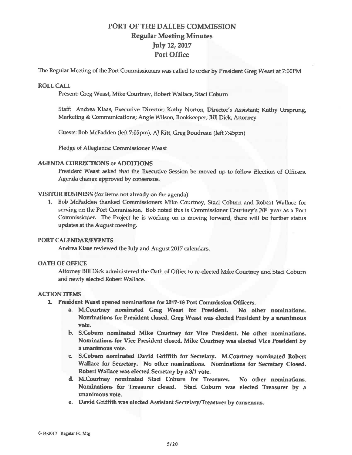# PORT OF THE DALLES COMMISSION **Regular Meeting Minutes**  July 12, 2017 Port Office

The Regular Meeting of the Port Commissioners was called to order by President Greg Weast at 7:00PM

## **ROLL CALL**

Present: Greg Weast, Mike Courtney, Robert Wallace, Staci Coburn

Staff: Andrea Klaas, Executive Director; Kathy Norton, Director's Assistant; Kathy Ursprung, Marketing & Communications; Angie Wilson, Bookkeeper; Bill Dick, Attorney

Guests: Bob McFadden (left 7:05pm), AJ Kitt, Greg Boudreau (left 7:45pm)

Pledge of Allegiance: Commissioner Weast

## **AGENDA CORRECTIONS or ADDITIONS**

President Weast asked that the Executive Session be moved up to follow Election of Officers. Agenda change approved by consensus.

# **VISITOR BUSINESS** (for items not already on the agenda)

1. Bob McFadden thanked Commissioners Mike Courtney, Staci Coburn and Robert Wallace for serving on the Port Commission. Bob noted this is Commissioner Courtney's 20<sup>th</sup> year as a Port Commissioner. The Project he is working on is moving forward, there will be further status updates at the August meeting.

## **PORT CALENDAR/EVENTS**

Andrea Klaas reviewed the July and August 2017 calendars.

#### **OATH OF OFFICE**

Attorney Bill Dick administered the Oath of Office to re-elected Mike Courtney and Staci Coburn and newly elected Robert Wallace.

## **ACTION ITEMS**

- **1.** President Weast opened nominations for 2017-18 Port Commission Officers.
	- a. M.Courtney nominated Greg Weast for President. No other nominations. Nominations for President dosed. Greg Weast was elected President by a unanimous vote.
	- b. S.Cobum nominated Mike Courtney for Vice President. No other nominations. Nominations for Vice President dosed. Mike Courtney was elected Vice President by a unanimous vote.
	- c. S.Cobum nominated David Griffith for Secretary. M.Courtney nominated Robert Wallace for Secretary. No other nominations. Nominations for Secretary Closed. Robert Wallace was elected Secretary by a 3/1 vote.
	- d. M.Courtney nominated Staci Coburn for Treasurer. No other nominations. Nominations for Treasurer closed. Staci Coburn was elected Treasurer by a unanimous vote.
	- e. David Griffith was elected Assistant Secretary/Treasurer by consensus.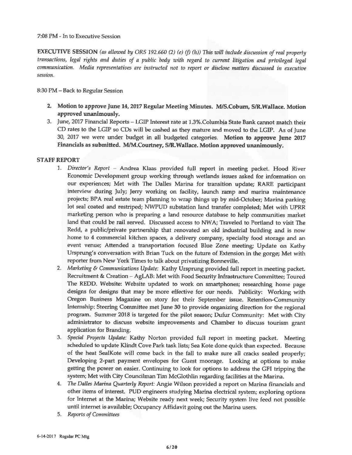7:08 PM - In to Executive Session

**EXECUTIVE SESSION** *(as allowed by ORS 192.660 (2) (e) (f) (h)) This will include discussion of real property transactions, legal rights and duties of a public body with regard to current litigation and privileged legal communication. Media representatives are instructed not to report or disclose* matters *discussed in executive session.* 

8:30 PM - Back to Regular Session

- 2. Motion to approve June 14, 2017 Regular Meeting Minutes. M/S.Coburn, S/R.Wallace. Motion **approved unanimously.**
- 3. June, 2017 Financial Reports LGIP Interest rate at 1.3%.Columhia State Bank cannot match their CD rates to the LGIP so CDs will be cashed as they mature and moved to the LGIP. As of June 301 2017 we were under budget in all budgeted categories. **Motion to approve June 2017 Financials as submitted. M/M.Courtney, SIR.Wallace. Motion approved unanimously.**

# **STAFF REPORT**

- 1. *Director's Report*  Andrea Klaas provided full report in meeting packet. Hood River Economic Development group working through wetlands issues asked for information on our experiences; Met with The Dalles Marina for transition update; RARE participant interview during July; Jerry working on facility, launch ramp and marina maintenance projects; BPA real estate team planning to wrap things up by mid-October; Marina parking lot seal coated and restriped; NWPUD substation land transfer completed; Met with UPRR marketing person who is preparing a land resource database to help communities market land that could be rail served. Discussed access to NWA; Traveled to Portland to visit The Redd, a public/private partnership that renovated an old industrial building and is now home to 4 commercial kitchen spaces, a delivery company, specialty food storage and an event venue; Attended a transportation focused Blue Zone meeting; Update on Kathy Ursprung's conversation with Brian Tuck on the future of Extension in the gorge; Met with reporter from New York Times to talk about privatizing Bonneville.
- 2. *Marketing & Communications Update:* Kathy Ursprung provided full report in meeting packet. Recruibnent & Creation - AgLAB: Met with Food Security Infrastructure Committee; Toured The REDD. Website: Website updated to work on smartphones; researching home page designs for designs that may be more effective for our needs. Publicity: Working with Oregon Business Magazine on story for their September issue. Retention-Community Internship: Steering Committee met June 30 to provide organizing direction for the regional program. Summer 2018 is targeted for the pilot season; Dufur Community: Met with City administrator to discuss website improvements and Chamber to discuss tourism grant application for Branding.
- 3. Special Projects Update: Kathy Norton provided full report in meeting packet. Meeting scheduled to update Klindt Cove Park task lists; Sea Kote done quick than expected. Because of the heat SealKote will come back in the fall to make sure all cracks sealed properly; Developing 2-part payment envelopes for Guest moorage. Looking at options to make getting the power on easier. Continuing to look for options to address the GFI tripping the system; Met with City Councilman Tim McGlothlin regarding facilities at the Marina.
- 4. The *Dalles Marina Quarterly Report:* Angie Wilson provided a report on Marina financials and other items of interest. PUD engineers studying Marina electrical system; exploring options for Internet at the Marina; Website ready next week; Security system live feed not possible until internet is available; Occupancy Affidavit going out the Marina users.
- 5. *Reports of Committees*